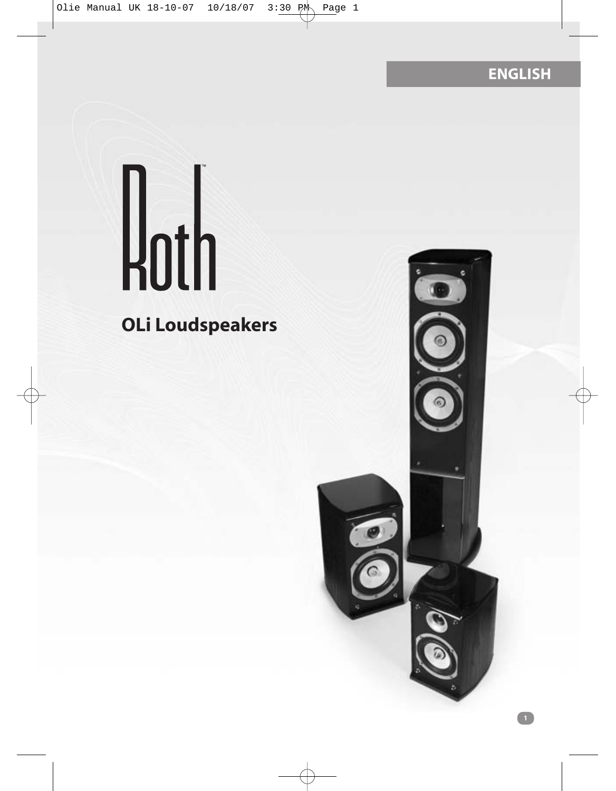**ENGLISH**

# $H$ <sub>0th</sub>

### **OLi Loudspeakers**

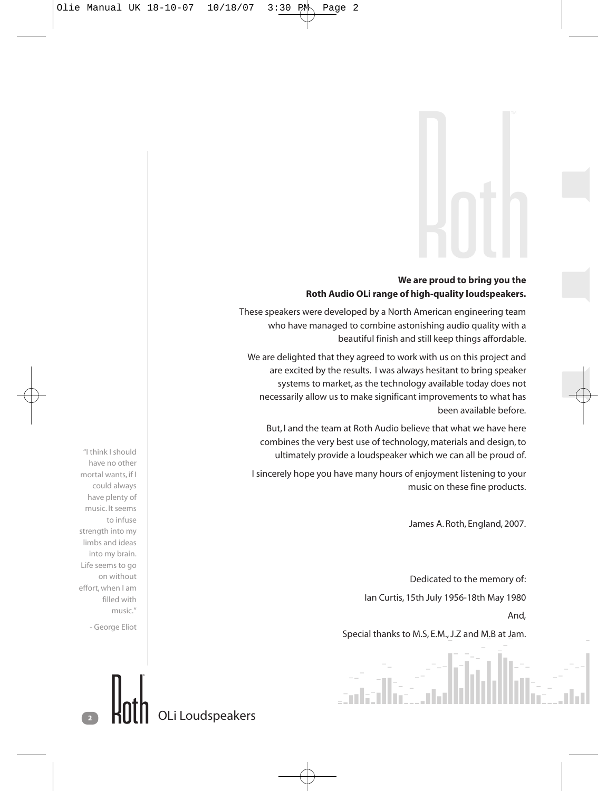#### **We are proud to bring you the Roth Audio OLi range of high-quality loudspeakers.**

These speakers were developed by a North American engineering team who have managed to combine astonishing audio quality with a beautiful finish and still keep things affordable.

We are delighted that they agreed to work with us on this project and are excited by the results. I was always hesitant to bring speaker systems to market, as the technology available today does not necessarily allow us to make significant improvements to what has been available before.

But, I and the team at Roth Audio believe that what we have here combines the very best use of technology, materials and design, to ultimately provide a loudspeaker which we can all be proud of.

I sincerely hope you have many hours of enjoyment listening to your music on these fine products.

James A. Roth, England, 2007.

Dedicated to the memory of: Ian Curtis, 15th July 1956-18th May 1980

And,

Special thanks to M.S, E.M., J.Z and M.B at Jam.

"I think I should have no other mortal wants, if I could always have plenty of music. It seems to infuse strength into my limbs and ideas into my brain. Life seems to go on without effort, when I am filled with music."

- George Eliot

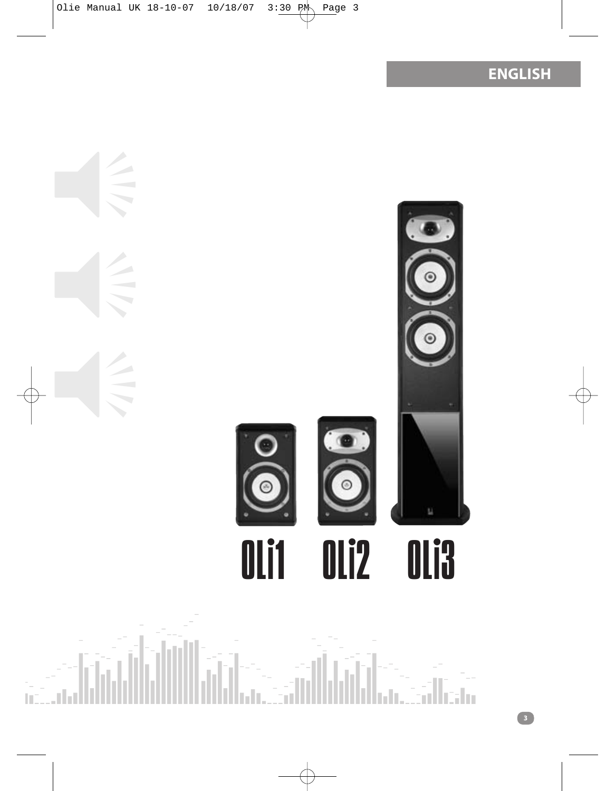**ENGLISH**



**3**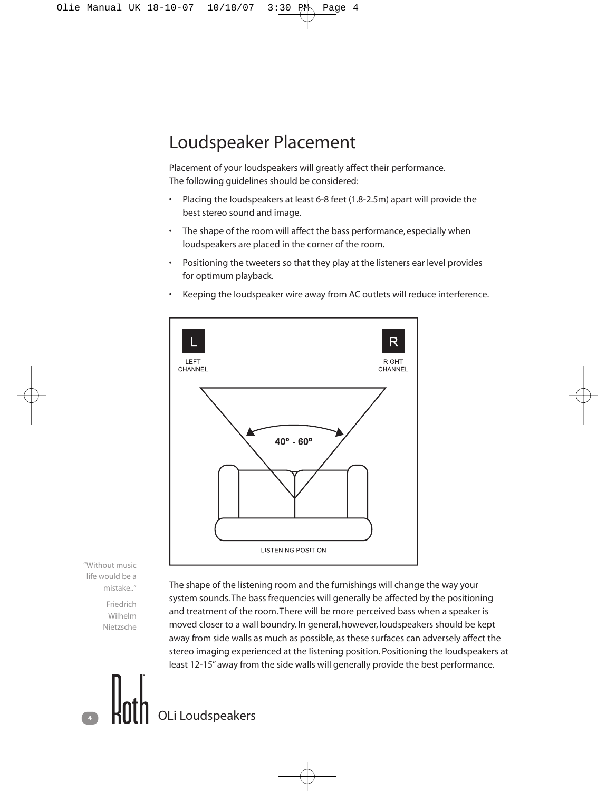#### Loudspeaker Placement

Placement of your loudspeakers will greatly affect their performance. The following guidelines should be considered:

- Placing the loudspeakers at least 6-8 feet (1.8-2.5m) apart will provide the best stereo sound and image.
- The shape of the room will affect the bass performance, especially when loudspeakers are placed in the corner of the room.
- Positioning the tweeters so that they play at the listeners ear level provides for optimum playback.
- Keeping the loudspeaker wire away from AC outlets will reduce interference.



"Without music life would be a mistake.."

> Friedrich Wilhelm Nietzsche

The shape of the listening room and the furnishings will change the way your system sounds.The bass frequencies will generally be affected by the positioning and treatment of the room.There will be more perceived bass when a speaker is moved closer to a wall boundry. In general, however, loudspeakers should be kept away from side walls as much as possible, as these surfaces can adversely affect the stereo imaging experienced at the listening position. Positioning the loudspeakers at least 12-15" away from the side walls will generally provide the best performance.

**<sup>4</sup>** OLi Loudspeakers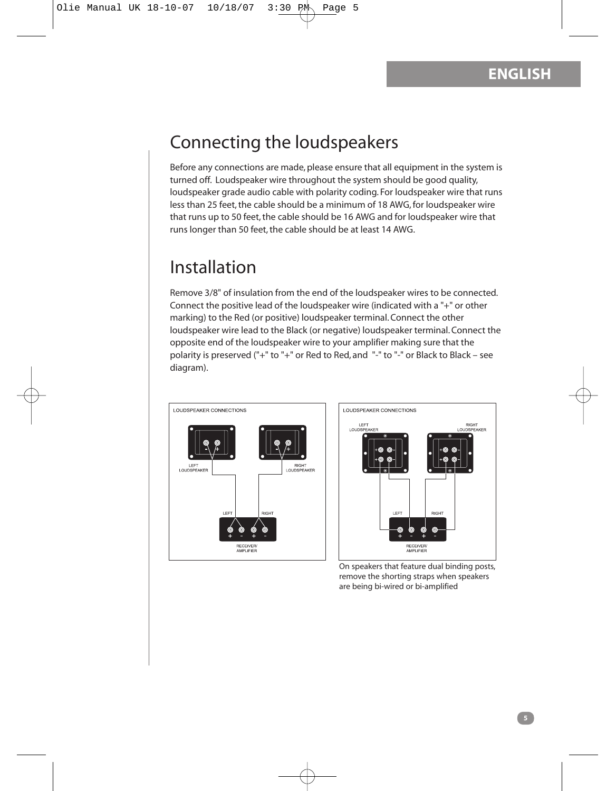#### Connecting the loudspeakers

Before any connections are made, please ensure that all equipment in the system is turned off. Loudspeaker wire throughout the system should be good quality, loudspeaker grade audio cable with polarity coding. For loudspeaker wire that runs less than 25 feet, the cable should be a minimum of 18 AWG, for loudspeaker wire that runs up to 50 feet, the cable should be 16 AWG and for loudspeaker wire that runs longer than 50 feet, the cable should be at least 14 AWG.

#### Installation

Remove 3/8" of insulation from the end of the loudspeaker wires to be connected. Connect the positive lead of the loudspeaker wire (indicated with a "+" or other marking) to the Red (or positive) loudspeaker terminal. Connect the other loudspeaker wire lead to the Black (or negative) loudspeaker terminal. Connect the opposite end of the loudspeaker wire to your amplifier making sure that the polarity is preserved ("+" to "+" or Red to Red, and "-" to "-" or Black to Black – see diagram).





On speakers that feature dual binding posts, remove the shorting straps when speakers are being bi-wired or bi-amplified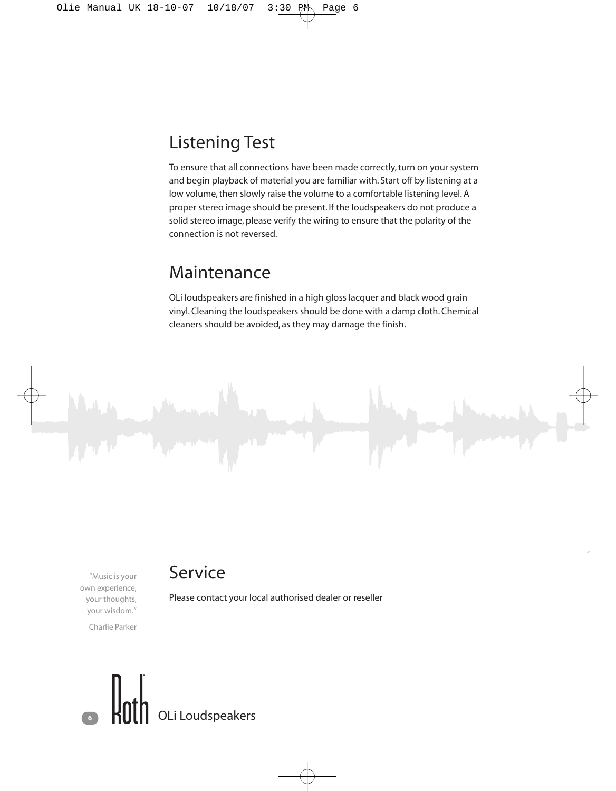#### Listening Test

To ensure that all connections have been made correctly, turn on your system and begin playback of material you are familiar with. Start off by listening at a low volume, then slowly raise the volume to a comfortable listening level. A proper stereo image should be present. If the loudspeakers do not produce a solid stereo image, please verify the wiring to ensure that the polarity of the connection is not reversed.

#### Maintenance

OLi loudspeakers are finished in a high gloss lacquer and black wood grain vinyl. Cleaning the loudspeakers should be done with a damp cloth. Chemical cleaners should be avoided, as they may damage the finish.

"Music is your own experience, your thoughts, your wisdom."

Charlie Parker

#### Service

Please contact your local authorised dealer or reseller

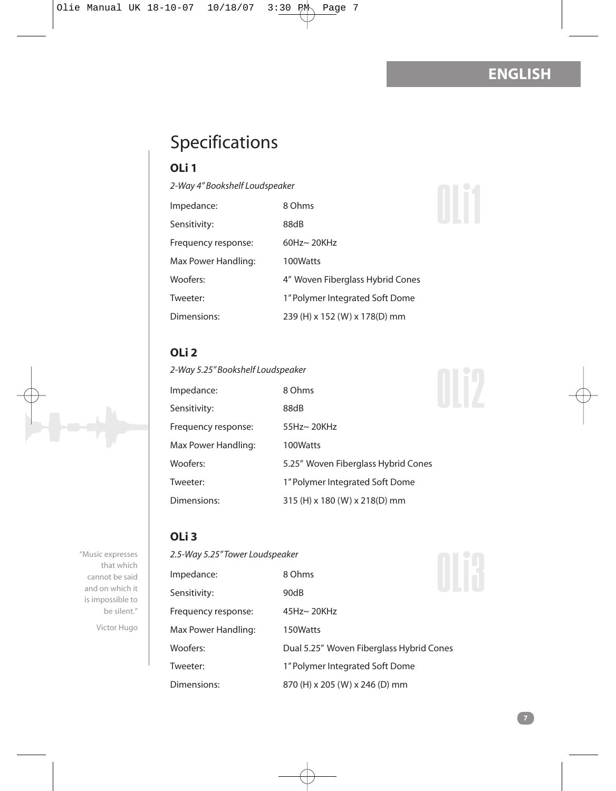#### **ENGLISH**

#### Specifications

#### **OLi 1**

*2-Way 4" Bookshelf Loudspeaker*

| Impedance:          | 8 Ohms                           |
|---------------------|----------------------------------|
| Sensitivity:        | 88dB                             |
| Frequency response: | $60$ Hz $\sim$ 20KHz             |
| Max Power Handling: | 100Watts                         |
| Woofers:            | 4" Woven Fiberglass Hybrid Cones |
| Tweeter:            | 1" Polymer Integrated Soft Dome  |
| Dimensions:         | 239 (H) x 152 (W) x 178(D) mm    |

#### **OLi 2**

*2-Way 5.25" Bookshelf Loudspeaker*

| Impedance:          | 8 Ohms                              |
|---------------------|-------------------------------------|
| Sensitivity:        | 88dB                                |
| Frequency response: | 55Hz~ 20KHz                         |
| Max Power Handling: | 100Watts                            |
| Woofers:            | 5.25" Woven Fiberglass Hybrid Cones |
| Tweeter:            | 1" Polymer Integrated Soft Dome     |
| Dimensions:         | 315 (H) x 180 (W) x 218(D) mm       |

## OLi2

OLi1

**OLi 3**

"Music expresses that which cannot be said and on which it is impossible to be silent."

Victor Hugo

#### *2.5-Way 5.25" Tower Loudspeaker*

| 2.5-Way 5.25″ Tower Loudspeaker |                                          |  |
|---------------------------------|------------------------------------------|--|
| Impedance:                      | 8 Ohms                                   |  |
| Sensitivity:                    | 90dB                                     |  |
| Frequency response:             | 45Hz~ 20KHz                              |  |
| Max Power Handling:             | 150Watts                                 |  |
| Woofers:                        | Dual 5.25" Woven Fiberglass Hybrid Cones |  |
| Tweeter:                        | 1" Polymer Integrated Soft Dome          |  |
| Dimensions:                     | 870 (H) x 205 (W) x 246 (D) mm           |  |